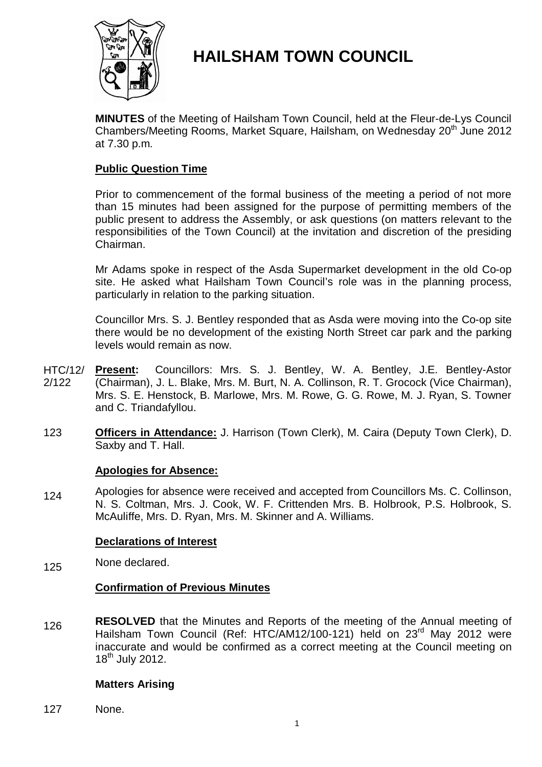

# **HAILSHAM TOWN COUNCIL**

**MINUTES** of the Meeting of Hailsham Town Council, held at the Fleur-de-Lys Council Chambers/Meeting Rooms, Market Square, Hailsham, on Wednesday 20<sup>th</sup> June 2012 at 7.30 p.m.

## **Public Question Time**

Prior to commencement of the formal business of the meeting a period of not more than 15 minutes had been assigned for the purpose of permitting members of the public present to address the Assembly, or ask questions (on matters relevant to the responsibilities of the Town Council) at the invitation and discretion of the presiding Chairman.

Mr Adams spoke in respect of the Asda Supermarket development in the old Co-op site. He asked what Hailsham Town Council's role was in the planning process, particularly in relation to the parking situation.

Councillor Mrs. S. J. Bentley responded that as Asda were moving into the Co-op site there would be no development of the existing North Street car park and the parking levels would remain as now.

- HTC/12/ 2/122 **Present:** Councillors: Mrs. S. J. Bentley, W. A. Bentley, J.E. Bentley-Astor (Chairman), J. L. Blake, Mrs. M. Burt, N. A. Collinson, R. T. Grocock (Vice Chairman), Mrs. S. E. Henstock, B. Marlowe, Mrs. M. Rowe, G. G. Rowe, M. J. Ryan, S. Towner and C. Triandafyllou.
- 123 **Officers in Attendance:** J. Harrison (Town Clerk), M. Caira (Deputy Town Clerk), D. Saxby and T. Hall.

### **Apologies for Absence:**

124 Apologies for absence were received and accepted from Councillors Ms. C. Collinson, N. S. Coltman, Mrs. J. Cook, W. F. Crittenden Mrs. B. Holbrook, P.S. Holbrook, S. McAuliffe, Mrs. D. Ryan, Mrs. M. Skinner and A. Williams.

### **Declarations of Interest**

125 None declared.

### **Confirmation of Previous Minutes**

126 **RESOLVED** that the Minutes and Reports of the meeting of the Annual meeting of Hailsham Town Council (Ref: HTC/AM12/100-121) held on 23<sup>rd</sup> May 2012 were inaccurate and would be confirmed as a correct meeting at the Council meeting on 18<sup>th</sup> July 2012.

### **Matters Arising**

127 None.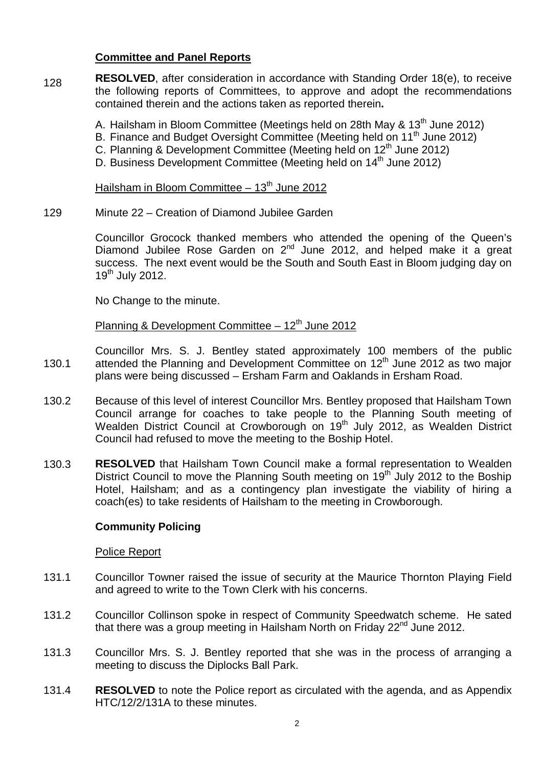### **Committee and Panel Reports**

- 128 **RESOLVED**, after consideration in accordance with Standing Order 18(e), to receive the following reports of Committees, to approve and adopt the recommendations contained therein and the actions taken as reported therein**.**
	- A. Hailsham in Bloom Committee (Meetings held on 28th May  $\& 13<sup>th</sup>$  June 2012)
	- B. Finance and Budget Oversight Committee (Meeting held on 11<sup>th</sup> June 2012)
	- C. Planning & Development Committee (Meeting held on 12<sup>th</sup> June 2012)
	- D. Business Development Committee (Meeting held on 14<sup>th</sup> June 2012)

### Hailsham in Bloom Committee  $-13<sup>th</sup>$  June 2012

129 Minute 22 – Creation of Diamond Jubilee Garden

> Councillor Grocock thanked members who attended the opening of the Queen's Diamond Jubilee Rose Garden on 2<sup>nd</sup> June 2012, and helped make it a great success. The next event would be the South and South East in Bloom judging day on  $19<sup>th</sup>$  July 2012.

No Change to the minute.

Planning & Development Committee  $-12<sup>th</sup>$  June 2012

- 130.1 Councillor Mrs. S. J. Bentley stated approximately 100 members of the public attended the Planning and Development Committee on 12<sup>th</sup> June 2012 as two major plans were being discussed – Ersham Farm and Oaklands in Ersham Road.
- 130.2 Because of this level of interest Councillor Mrs. Bentley proposed that Hailsham Town Council arrange for coaches to take people to the Planning South meeting of Wealden District Council at Crowborough on 19<sup>th</sup> July 2012, as Wealden District Council had refused to move the meeting to the Boship Hotel.
- 130.3 **RESOLVED** that Hailsham Town Council make a formal representation to Wealden District Council to move the Planning South meeting on 19<sup>th</sup> July 2012 to the Boship Hotel, Hailsham; and as a contingency plan investigate the viability of hiring a coach(es) to take residents of Hailsham to the meeting in Crowborough.

### **Community Policing**

### Police Report

- 131.1 Councillor Towner raised the issue of security at the Maurice Thornton Playing Field and agreed to write to the Town Clerk with his concerns.
- 131.2 Councillor Collinson spoke in respect of Community Speedwatch scheme. He sated that there was a group meeting in Hailsham North on Friday  $22<sup>nd</sup>$  June 2012.
- 131.3 Councillor Mrs. S. J. Bentley reported that she was in the process of arranging a meeting to discuss the Diplocks Ball Park.
- 131.4 **RESOLVED** to note the Police report as circulated with the agenda, and as Appendix HTC/12/2/131A to these minutes.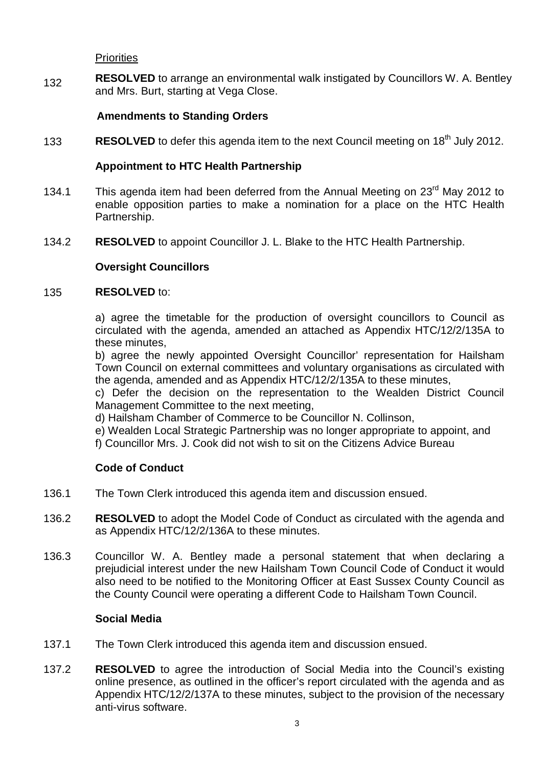**Priorities** 

132 **RESOLVED** to arrange an environmental walk instigated by Councillors W. A. Bentley and Mrs. Burt, starting at Vega Close.

## **Amendments to Standing Orders**

133 **RESOLVED** to defer this agenda item to the next Council meeting on 18<sup>th</sup> July 2012.

## **Appointment to HTC Health Partnership**

- 134.1 This agenda item had been deferred from the Annual Meeting on 23<sup>rd</sup> May 2012 to enable opposition parties to make a nomination for a place on the HTC Health Partnership.
- 134.2 **RESOLVED** to appoint Councillor J. L. Blake to the HTC Health Partnership.

# **Oversight Councillors**

#### 135 **RESOLVED** to:

a) agree the timetable for the production of oversight councillors to Council as circulated with the agenda, amended an attached as Appendix HTC/12/2/135A to these minutes,

b) agree the newly appointed Oversight Councillor' representation for Hailsham Town Council on external committees and voluntary organisations as circulated with the agenda, amended and as Appendix HTC/12/2/135A to these minutes,

c) Defer the decision on the representation to the Wealden District Council Management Committee to the next meeting,

d) Hailsham Chamber of Commerce to be Councillor N. Collinson,

e) Wealden Local Strategic Partnership was no longer appropriate to appoint, and

f) Councillor Mrs. J. Cook did not wish to sit on the Citizens Advice Bureau

### **Code of Conduct**

- 136.1 The Town Clerk introduced this agenda item and discussion ensued.
- 136.2 **RESOLVED** to adopt the Model Code of Conduct as circulated with the agenda and as Appendix HTC/12/2/136A to these minutes.
- 136.3 Councillor W. A. Bentley made a personal statement that when declaring a prejudicial interest under the new Hailsham Town Council Code of Conduct it would also need to be notified to the Monitoring Officer at East Sussex County Council as the County Council were operating a different Code to Hailsham Town Council.

### **Social Media**

- 137.1 The Town Clerk introduced this agenda item and discussion ensued.
- 137.2 **RESOLVED** to agree the introduction of Social Media into the Council's existing online presence, as outlined in the officer's report circulated with the agenda and as Appendix HTC/12/2/137A to these minutes, subject to the provision of the necessary anti-virus software.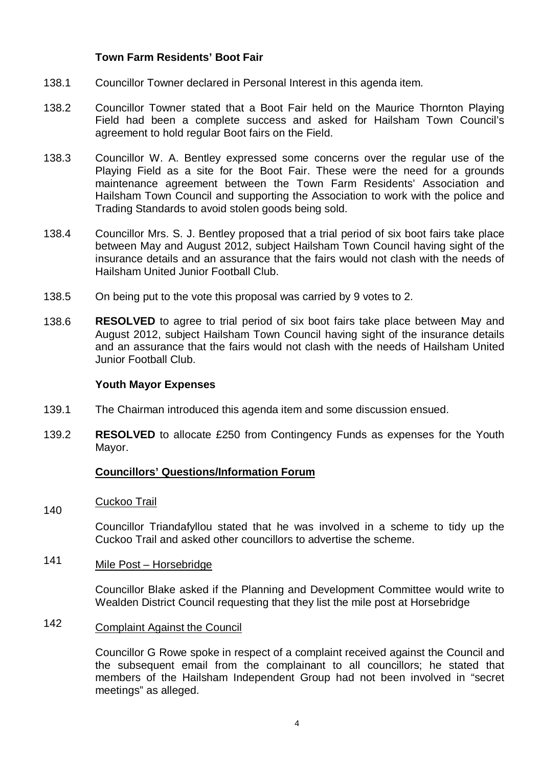### **Town Farm Residents' Boot Fair**

- 138.1 Councillor Towner declared in Personal Interest in this agenda item.
- 138.2 Councillor Towner stated that a Boot Fair held on the Maurice Thornton Playing Field had been a complete success and asked for Hailsham Town Council's agreement to hold regular Boot fairs on the Field.
- 138.3 Councillor W. A. Bentley expressed some concerns over the regular use of the Playing Field as a site for the Boot Fair. These were the need for a grounds maintenance agreement between the Town Farm Residents' Association and Hailsham Town Council and supporting the Association to work with the police and Trading Standards to avoid stolen goods being sold.
- 138.4 Councillor Mrs. S. J. Bentley proposed that a trial period of six boot fairs take place between May and August 2012, subject Hailsham Town Council having sight of the insurance details and an assurance that the fairs would not clash with the needs of Hailsham United Junior Football Club.
- 138.5 On being put to the vote this proposal was carried by 9 votes to 2.
- 138.6 **RESOLVED** to agree to trial period of six boot fairs take place between May and August 2012, subject Hailsham Town Council having sight of the insurance details and an assurance that the fairs would not clash with the needs of Hailsham United Junior Football Club.

### **Youth Mayor Expenses**

- 139.1 The Chairman introduced this agenda item and some discussion ensued.
- 139.2 **RESOLVED** to allocate £250 from Contingency Funds as expenses for the Youth Mayor.

### **Councillors' Questions/Information Forum**

140 Cuckoo Trail

> Councillor Triandafyllou stated that he was involved in a scheme to tidy up the Cuckoo Trail and asked other councillors to advertise the scheme.

### 141 Mile Post – Horsebridge

Councillor Blake asked if the Planning and Development Committee would write to Wealden District Council requesting that they list the mile post at Horsebridge

### 142 Complaint Against the Council

Councillor G Rowe spoke in respect of a complaint received against the Council and the subsequent email from the complainant to all councillors; he stated that members of the Hailsham Independent Group had not been involved in "secret meetings" as alleged.